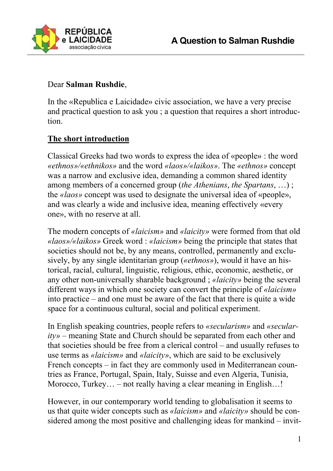

## Dear **Salman Rushdie**,

In the «Republica e Laicidade» civic association, we have a very precise and practical question to ask you ; a question that requires a short introduction.

# **The short introduction**

Classical Greeks had two words to express the idea of «people» : the word *«ethnos»/«ethnikos»* and the word *«laos»/«laikos»*. The *«ethnos»* concept was a narrow and exclusive idea, demanding a common shared identity among members of a concerned group (*the Athenians*, *the Spartans*, …) ; the *«laos»* concept was used to designate the universal idea of «people», and was clearly a wide and inclusive idea, meaning effectively «every one», with no reserve at all.

The modern concepts of *«laicism»* and *«laicity»* were formed from that old *«laos»/«laikos»* Greek word : *«laicism»* being the principle that states that societies should not be, by any means, controlled, permanently and exclusively, by any single identitarian group (*«ethnos»*), would it have an historical, racial, cultural, linguistic, religious, ethic, economic, aesthetic, or any other non-universally sharable background ; *«laicity»* being the several different ways in which one society can convert the principle of *«laicism»* into practice – and one must be aware of the fact that there is quite a wide space for a continuous cultural, social and political experiment.

In English speaking countries, people refers to *«secularism»* and *«secularity»* – meaning State and Church should be separated from each other and that societies should be free from a clerical control – and usually refuses to use terms as *«laicism»* and *«laicity»*, which are said to be exclusively French concepts – in fact they are commonly used in Mediterranean countries as France, Portugal, Spain, Italy, Suisse and even Algeria, Tunisia, Morocco, Turkey... – not really having a clear meaning in English...!

However, in our contemporary world tending to globalisation it seems to us that quite wider concepts such as *«laicism»* and *«laicity»* should be considered among the most positive and challenging ideas for mankind – invit-